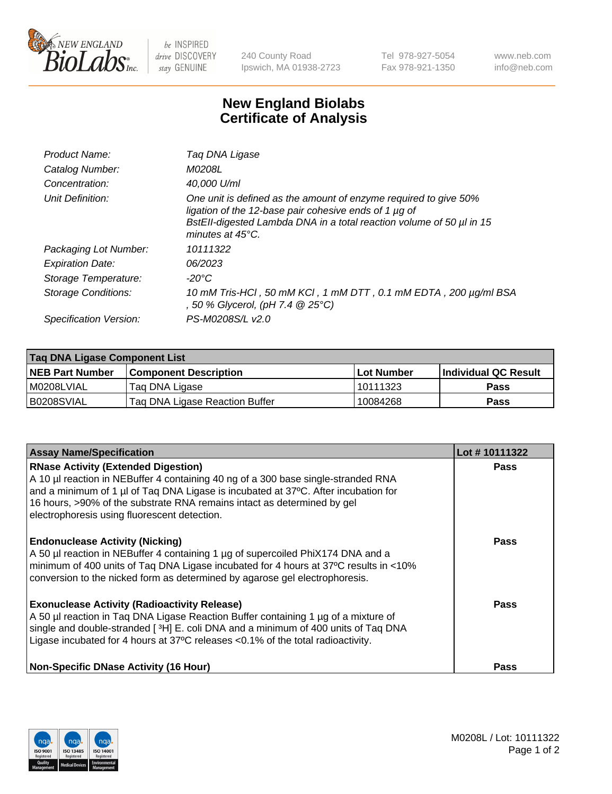

 $be$  INSPIRED drive DISCOVERY stay GENUINE

240 County Road Ipswich, MA 01938-2723 Tel 978-927-5054 Fax 978-921-1350 www.neb.com info@neb.com

## **New England Biolabs Certificate of Analysis**

| Product Name:              | Tag DNA Ligase                                                                                                                                                                                                                  |
|----------------------------|---------------------------------------------------------------------------------------------------------------------------------------------------------------------------------------------------------------------------------|
| Catalog Number:            | M0208L                                                                                                                                                                                                                          |
| Concentration:             | 40,000 U/ml                                                                                                                                                                                                                     |
| Unit Definition:           | One unit is defined as the amount of enzyme required to give 50%<br>ligation of the 12-base pair cohesive ends of 1 µg of<br>BstEll-digested Lambda DNA in a total reaction volume of 50 µl in 15<br>minutes at $45^{\circ}$ C. |
| Packaging Lot Number:      | 10111322                                                                                                                                                                                                                        |
| <b>Expiration Date:</b>    | 06/2023                                                                                                                                                                                                                         |
| Storage Temperature:       | $-20^{\circ}$ C                                                                                                                                                                                                                 |
| <b>Storage Conditions:</b> | 10 mM Tris-HCl, 50 mM KCl, 1 mM DTT, 0.1 mM EDTA, 200 µg/ml BSA<br>, 50 % Glycerol, (pH 7.4 @ 25°C)                                                                                                                             |
| Specification Version:     | PS-M0208S/L v2.0                                                                                                                                                                                                                |

| Taq DNA Ligase Component List |                                |            |                      |  |
|-------------------------------|--------------------------------|------------|----------------------|--|
| <b>NEB Part Number</b>        | <b>Component Description</b>   | Lot Number | Individual QC Result |  |
| M0208LVIAL                    | Tag DNA Ligase                 | 10111323   | <b>Pass</b>          |  |
| B0208SVIAL                    | Taq DNA Ligase Reaction Buffer | 10084268   | Pass                 |  |

| <b>Assay Name/Specification</b>                                                                                                                                                                                                                                                                                                                  | Lot #10111322 |
|--------------------------------------------------------------------------------------------------------------------------------------------------------------------------------------------------------------------------------------------------------------------------------------------------------------------------------------------------|---------------|
| <b>RNase Activity (Extended Digestion)</b><br>A 10 µl reaction in NEBuffer 4 containing 40 ng of a 300 base single-stranded RNA<br>and a minimum of 1 µl of Taq DNA Ligase is incubated at 37°C. After incubation for<br>16 hours, >90% of the substrate RNA remains intact as determined by gel<br>electrophoresis using fluorescent detection. | <b>Pass</b>   |
| <b>Endonuclease Activity (Nicking)</b><br>A 50 µl reaction in NEBuffer 4 containing 1 µg of supercoiled PhiX174 DNA and a<br>minimum of 400 units of Taq DNA Ligase incubated for 4 hours at 37°C results in <10%<br>conversion to the nicked form as determined by agarose gel electrophoresis.                                                 | <b>Pass</b>   |
| <b>Exonuclease Activity (Radioactivity Release)</b><br>A 50 µl reaction in Taq DNA Ligase Reaction Buffer containing 1 µg of a mixture of<br>single and double-stranded [3H] E. coli DNA and a minimum of 400 units of Taq DNA<br>Ligase incubated for 4 hours at 37°C releases <0.1% of the total radioactivity.                                | <b>Pass</b>   |
| <b>Non-Specific DNase Activity (16 Hour)</b>                                                                                                                                                                                                                                                                                                     | <b>Pass</b>   |